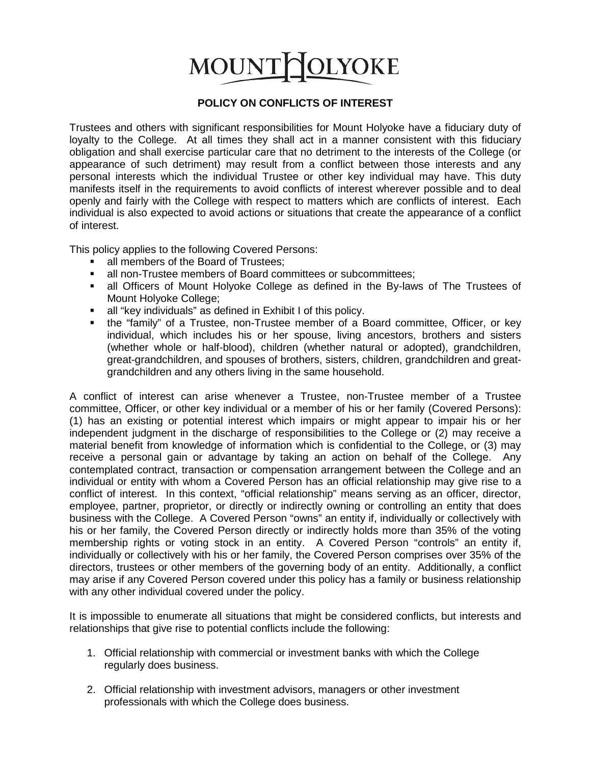# **OLYOKE MOUNT**

### **POLICY ON CONFLICTS OF INTEREST**

Trustees and others with significant responsibilities for Mount Holyoke have a fiduciary duty of loyalty to the College. At all times they shall act in a manner consistent with this fiduciary obligation and shall exercise particular care that no detriment to the interests of the College (or appearance of such detriment) may result from a conflict between those interests and any personal interests which the individual Trustee or other key individual may have. This duty manifests itself in the requirements to avoid conflicts of interest wherever possible and to deal openly and fairly with the College with respect to matters which are conflicts of interest. Each individual is also expected to avoid actions or situations that create the appearance of a conflict of interest.

This policy applies to the following Covered Persons:

- all members of the Board of Trustees:
- all non-Trustee members of Board committees or subcommittees;<br>
I all Officers of Mount Holyoke College as defined in the By-law
- all Officers of Mount Holyoke College as defined in the By-laws of The Trustees of Mount Holyoke College;
- all "key individuals" as defined in Exhibit I of this policy.
- the "family" of a Trustee, non-Trustee member of a Board committee, Officer, or key individual, which includes his or her spouse, living ancestors, brothers and sisters (whether whole or half-blood), children (whether natural or adopted), grandchildren, great-grandchildren, and spouses of brothers, sisters, children, grandchildren and greatgrandchildren and any others living in the same household.

A conflict of interest can arise whenever a Trustee, non-Trustee member of a Trustee committee, Officer, or other key individual or a member of his or her family (Covered Persons): (1) has an existing or potential interest which impairs or might appear to impair his or her independent judgment in the discharge of responsibilities to the College or (2) may receive a material benefit from knowledge of information which is confidential to the College, or (3) may receive a personal gain or advantage by taking an action on behalf of the College. Any contemplated contract, transaction or compensation arrangement between the College and an individual or entity with whom a Covered Person has an official relationship may give rise to a conflict of interest. In this context, "official relationship" means serving as an officer, director, employee, partner, proprietor, or directly or indirectly owning or controlling an entity that does business with the College. A Covered Person "owns" an entity if, individually or collectively with his or her family, the Covered Person directly or indirectly holds more than 35% of the voting membership rights or voting stock in an entity. A Covered Person "controls" an entity if, individually or collectively with his or her family, the Covered Person comprises over 35% of the directors, trustees or other members of the governing body of an entity. Additionally, a conflict may arise if any Covered Person covered under this policy has a family or business relationship with any other individual covered under the policy.

It is impossible to enumerate all situations that might be considered conflicts, but interests and relationships that give rise to potential conflicts include the following:

- 1. Official relationship with commercial or investment banks with which the College regularly does business.
- 2. Official relationship with investment advisors, managers or other investment professionals with which the College does business.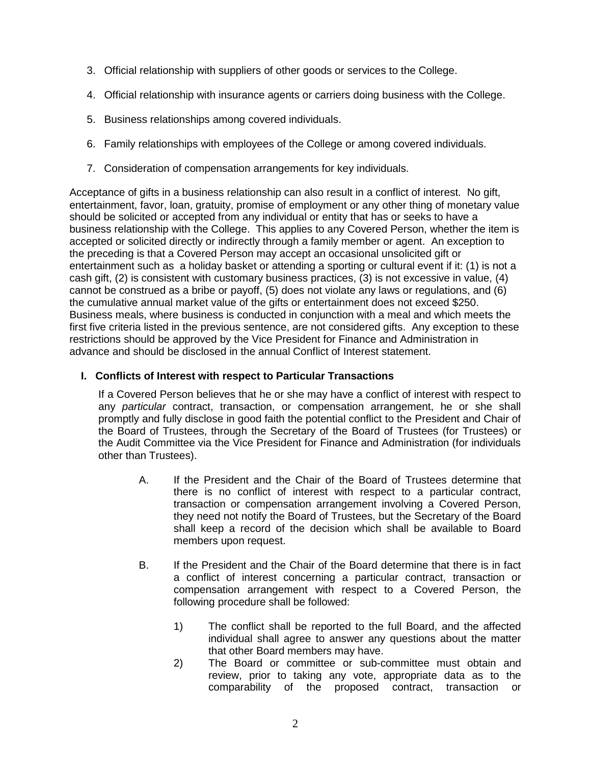- 3. Official relationship with suppliers of other goods or services to the College.
- 4. Official relationship with insurance agents or carriers doing business with the College.
- 5. Business relationships among covered individuals.
- 6. Family relationships with employees of the College or among covered individuals.
- 7. Consideration of compensation arrangements for key individuals.

Acceptance of gifts in a business relationship can also result in a conflict of interest. No gift, entertainment, favor, loan, gratuity, promise of employment or any other thing of monetary value should be solicited or accepted from any individual or entity that has or seeks to have a business relationship with the College. This applies to any Covered Person, whether the item is accepted or solicited directly or indirectly through a family member or agent. An exception to the preceding is that a Covered Person may accept an occasional unsolicited gift or entertainment such as a holiday basket or attending a sporting or cultural event if it: (1) is not a cash gift, (2) is consistent with customary business practices, (3) is not excessive in value, (4) cannot be construed as a bribe or payoff, (5) does not violate any laws or regulations, and (6) the cumulative annual market value of the gifts or entertainment does not exceed \$250. Business meals, where business is conducted in conjunction with a meal and which meets the first five criteria listed in the previous sentence, are not considered gifts. Any exception to these restrictions should be approved by the Vice President for Finance and Administration in advance and should be disclosed in the annual Conflict of Interest statement.

## **I. Conflicts of Interest with respect to Particular Transactions**

If a Covered Person believes that he or she may have a conflict of interest with respect to any *particular* contract, transaction, or compensation arrangement, he or she shall promptly and fully disclose in good faith the potential conflict to the President and Chair of the Board of Trustees, through the Secretary of the Board of Trustees (for Trustees) or the Audit Committee via the Vice President for Finance and Administration (for individuals other than Trustees).

- A. If the President and the Chair of the Board of Trustees determine that there is no conflict of interest with respect to a particular contract, transaction or compensation arrangement involving a Covered Person, they need not notify the Board of Trustees, but the Secretary of the Board shall keep a record of the decision which shall be available to Board members upon request.
- B. If the President and the Chair of the Board determine that there is in fact a conflict of interest concerning a particular contract, transaction or compensation arrangement with respect to a Covered Person, the following procedure shall be followed:
	- 1) The conflict shall be reported to the full Board, and the affected individual shall agree to answer any questions about the matter that other Board members may have.
	- 2) The Board or committee or sub-committee must obtain and review, prior to taking any vote, appropriate data as to the comparability of the proposed contract, transaction or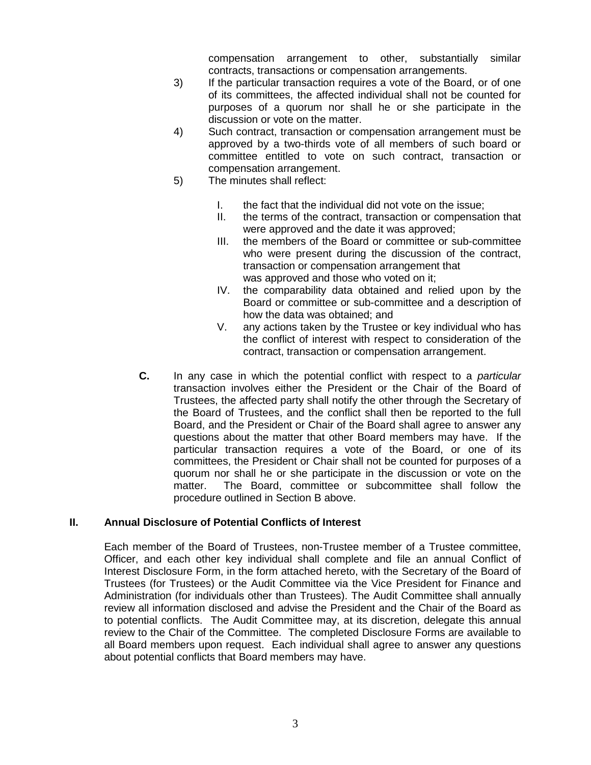compensation arrangement to other, substantially similar contracts, transactions or compensation arrangements.

- 3) If the particular transaction requires a vote of the Board, or of one of its committees, the affected individual shall not be counted for purposes of a quorum nor shall he or she participate in the discussion or vote on the matter.
- 4) Such contract, transaction or compensation arrangement must be approved by a two-thirds vote of all members of such board or committee entitled to vote on such contract, transaction or compensation arrangement.
- 5) The minutes shall reflect:
	- I. the fact that the individual did not vote on the issue;
	- II. the terms of the contract, transaction or compensation that were approved and the date it was approved;
	- III. the members of the Board or committee or sub-committee who were present during the discussion of the contract, transaction or compensation arrangement that was approved and those who voted on it;
	- IV. the comparability data obtained and relied upon by the Board or committee or sub-committee and a description of how the data was obtained; and
	- V. any actions taken by the Trustee or key individual who has the conflict of interest with respect to consideration of the contract, transaction or compensation arrangement.
- **C.** In any case in which the potential conflict with respect to a *particular*  transaction involves either the President or the Chair of the Board of Trustees, the affected party shall notify the other through the Secretary of the Board of Trustees, and the conflict shall then be reported to the full Board, and the President or Chair of the Board shall agree to answer any questions about the matter that other Board members may have. If the particular transaction requires a vote of the Board, or one of its committees, the President or Chair shall not be counted for purposes of a quorum nor shall he or she participate in the discussion or vote on the matter. The Board, committee or subcommittee shall follow the procedure outlined in Section B above.

### **II. Annual Disclosure of Potential Conflicts of Interest**

Each member of the Board of Trustees, non-Trustee member of a Trustee committee, Officer, and each other key individual shall complete and file an annual Conflict of Interest Disclosure Form, in the form attached hereto, with the Secretary of the Board of Trustees (for Trustees) or the Audit Committee via the Vice President for Finance and Administration (for individuals other than Trustees). The Audit Committee shall annually review all information disclosed and advise the President and the Chair of the Board as to potential conflicts. The Audit Committee may, at its discretion, delegate this annual review to the Chair of the Committee. The completed Disclosure Forms are available to all Board members upon request. Each individual shall agree to answer any questions about potential conflicts that Board members may have.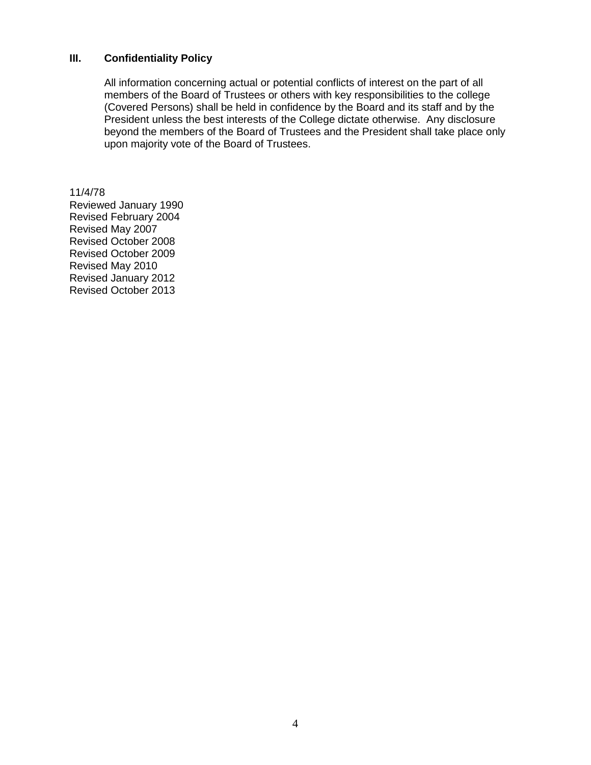#### **III. Confidentiality Policy**

All information concerning actual or potential conflicts of interest on the part of all members of the Board of Trustees or others with key responsibilities to the college (Covered Persons) shall be held in confidence by the Board and its staff and by the President unless the best interests of the College dictate otherwise. Any disclosure beyond the members of the Board of Trustees and the President shall take place only upon majority vote of the Board of Trustees.

11/4/78 Reviewed January 1990 Revised February 2004 Revised May 2007 Revised October 2008 Revised October 2009 Revised May 2010 Revised January 2012 Revised October 2013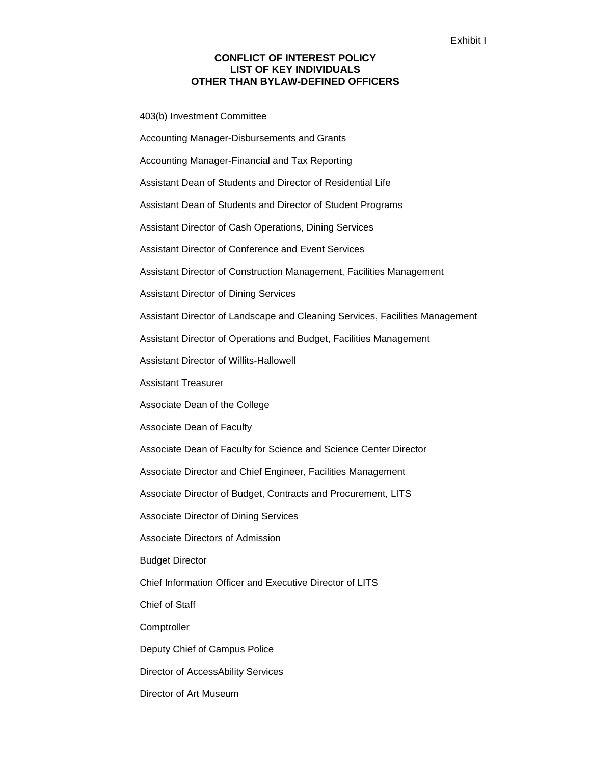#### **CONFLICT OF INTEREST POLICY LIST OF KEY INDIVIDUALS OTHER THAN BYLAW-DEFINED OFFICERS**

403(b) Investment Committee

Accounting Manager-Disbursements and Grants Accounting Manager-Financial and Tax Reporting Assistant Dean of Students and Director of Residential Life Assistant Dean of Students and Director of Student Programs Assistant Director of Cash Operations, Dining Services Assistant Director of Conference and Event Services Assistant Director of Construction Management, Facilities Management Assistant Director of Dining Services Assistant Director of Landscape and Cleaning Services, Facilities Management Assistant Director of Operations and Budget, Facilities Management Assistant Director of Willits-Hallowell Assistant Treasurer Associate Dean of the College Associate Dean of Faculty Associate Dean of Faculty for Science and Science Center Director Associate Director and Chief Engineer, Facilities Management Associate Director of Budget, Contracts and Procurement, LITS Associate Director of Dining Services Associate Directors of Admission Budget Director Chief Information Officer and Executive Director of LITS Chief of Staff **Comptroller** Deputy Chief of Campus Police Director of AccessAbility Services Director of Art Museum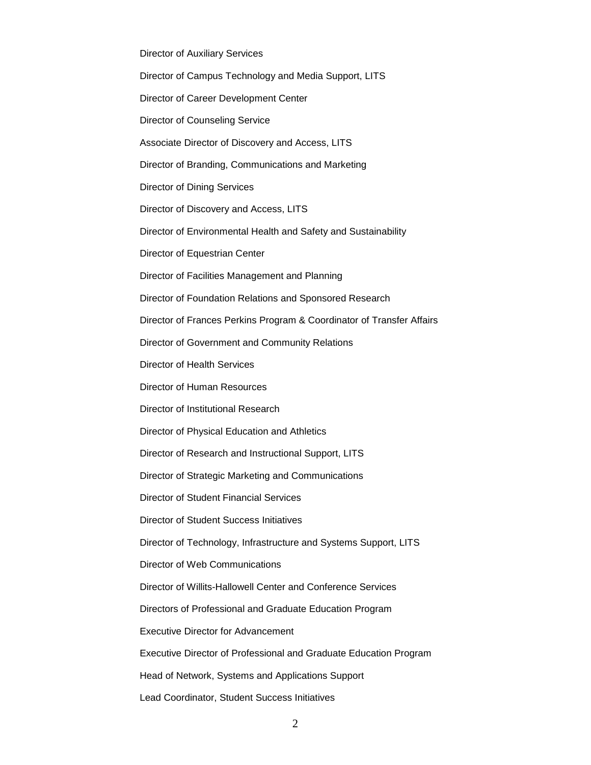Director of Auxiliary Services Director of Campus Technology and Media Support, LITS Director of Career Development Center Director of Counseling Service Associate Director of Discovery and Access, LITS Director of Branding, Communications and Marketing Director of Dining Services Director of Discovery and Access, LITS Director of Environmental Health and Safety and Sustainability Director of Equestrian Center Director of Facilities Management and Planning Director of Foundation Relations and Sponsored Research Director of Frances Perkins Program & Coordinator of Transfer Affairs Director of Government and Community Relations Director of Health Services Director of Human Resources Director of Institutional Research Director of Physical Education and Athletics Director of Research and Instructional Support, LITS Director of Strategic Marketing and Communications Director of Student Financial Services Director of Student Success Initiatives Director of Technology, Infrastructure and Systems Support, LITS Director of Web Communications Director of Willits-Hallowell Center and Conference Services Directors of Professional and Graduate Education Program Executive Director for Advancement Executive Director of Professional and Graduate Education Program Head of Network, Systems and Applications Support Lead Coordinator, Student Success Initiatives